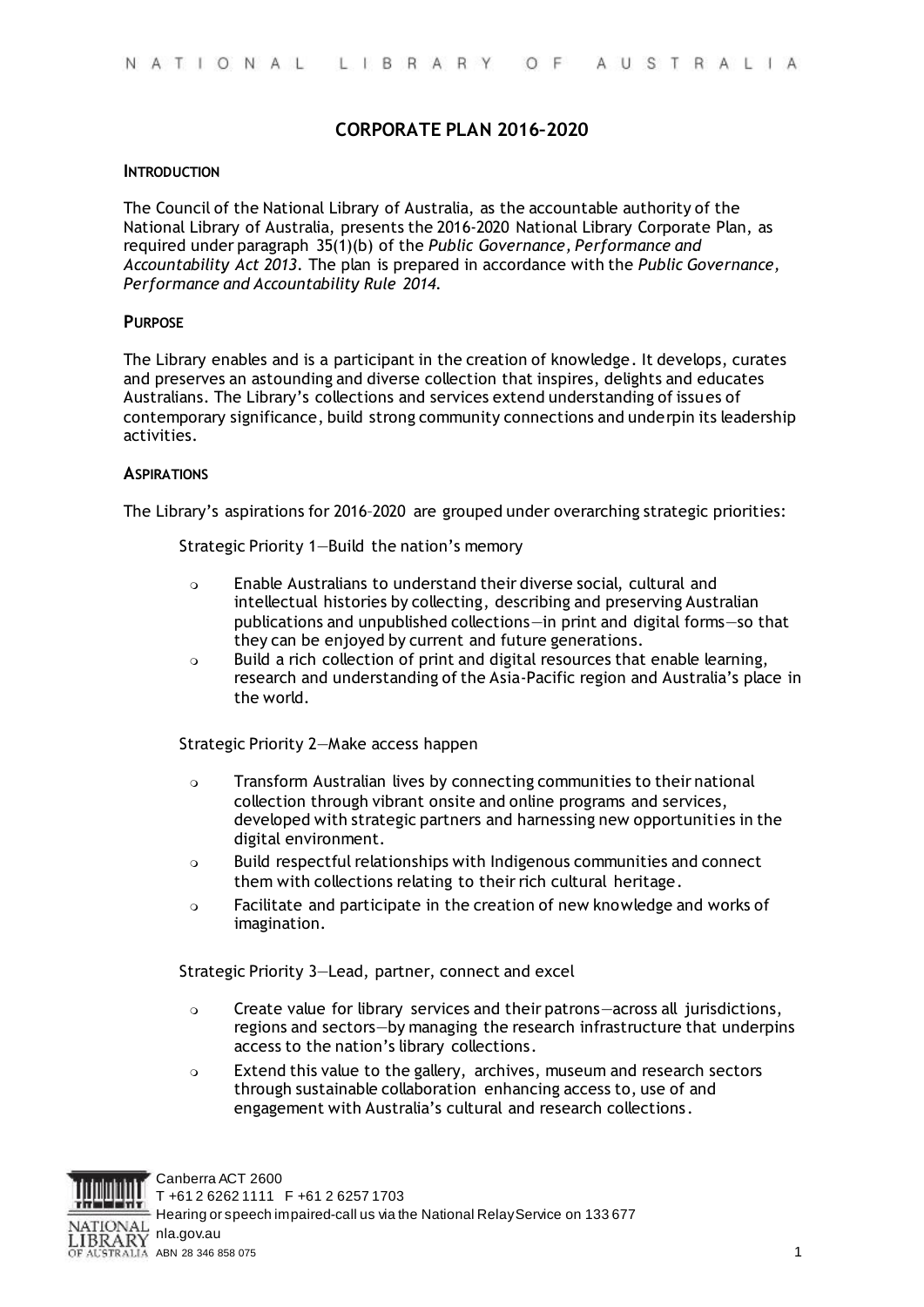# **CORPORATE PLAN 2016–2020**

#### **INTRODUCTION**

The Council of the National Library of Australia, as the accountable authority of the National Library of Australia, presents the 2016-2020 National Library Corporate Plan, as required under paragraph 35(1)(b) of the *Public Governance, Performance and Accountability Act 2013*. The plan is prepared in accordance with the *Public Governance, Performance and Accountability Rule 2014*.

#### **PURPOSE**

The Library enables and is a participant in the creation of knowledge. It develops, curates and preserves an astounding and diverse collection that inspires, delights and educates Australians. The Library's collections and services extend understanding of issues of contemporary significance, build strong community connections and underpin its leadership activities.

#### **ASPIRATIONS**

The Library's aspirations for 2016–2020 are grouped under overarching strategic priorities:

Strategic Priority 1—Build the nation's memory

- Enable Australians to understand their diverse social, cultural and intellectual histories by collecting, describing and preserving Australian publications and unpublished collections—in print and digital forms—so that they can be enjoyed by current and future generations.
- Build a rich collection of print and digital resources that enable learning, research and understanding of the Asia-Pacific region and Australia's place in the world.

Strategic Priority 2—Make access happen

- Transform Australian lives by connecting communities to their national collection through vibrant onsite and online programs and services, developed with strategic partners and harnessing new opportunities in the digital environment.
- Build respectful relationships with Indigenous communities and connect them with collections relating to their rich cultural heritage.
- Facilitate and participate in the creation of new knowledge and works of imagination.

Strategic Priority 3—Lead, partner, connect and excel

- Create value for library services and their patrons—across all jurisdictions, regions and sectors—by managing the research infrastructure that underpins access to the nation's library collections.
- Extend this value to the gallery, archives, museum and research sectors through sustainable collaboration enhancing access to, use of and engagement with Australia's cultural and research collections.

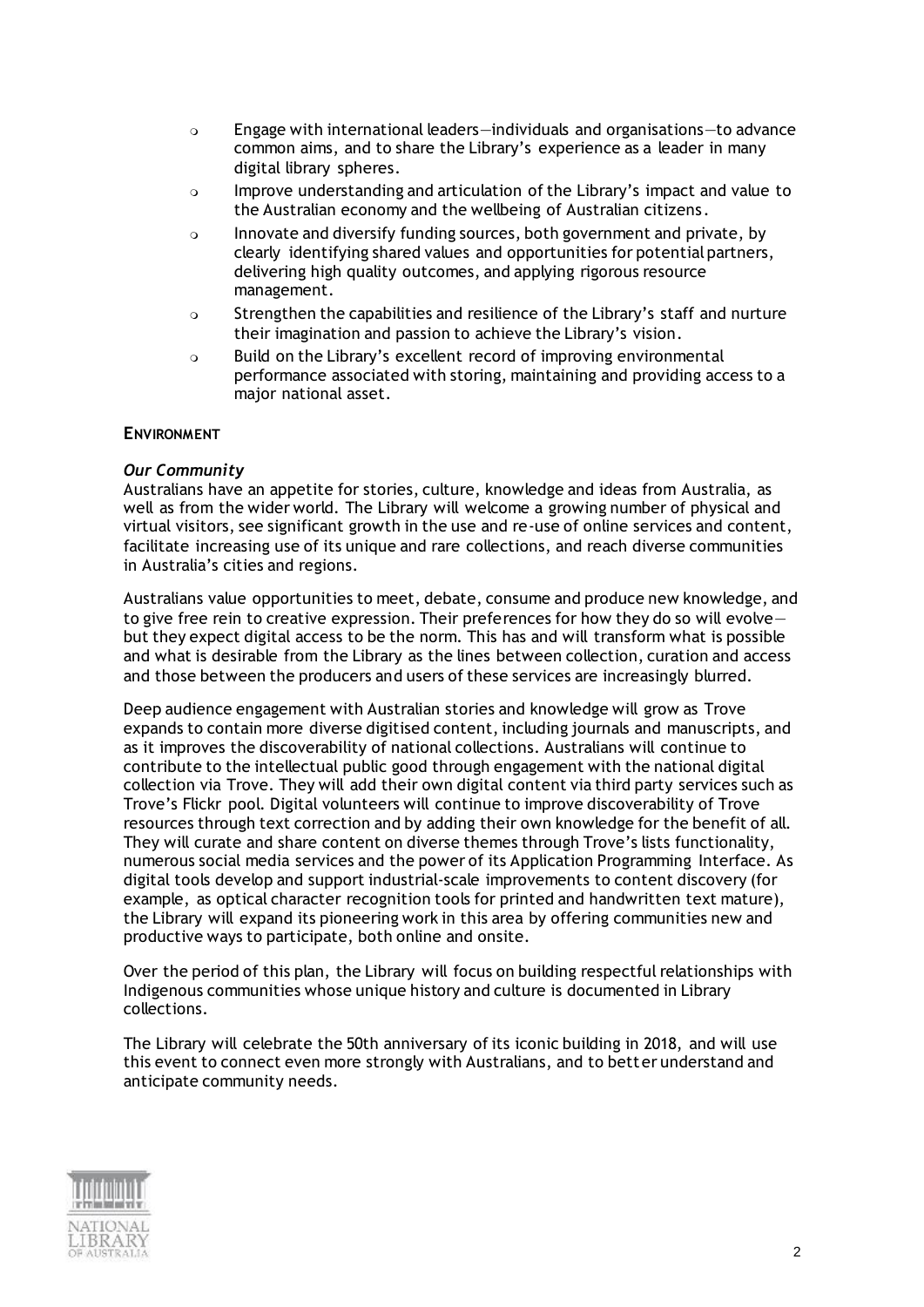- Engage with international leaders—individuals and organisations—to advance common aims, and to share the Library's experience as a leader in many digital library spheres.
- Improve understanding and articulation of the Library's impact and value to the Australian economy and the wellbeing of Australian citizens.
- Innovate and diversify funding sources, both government and private, by clearly identifying shared values and opportunities for potential partners, delivering high quality outcomes, and applying rigorous resource management.
- o Strengthen the capabilities and resilience of the Library's staff and nurture their imagination and passion to achieve the Library's vision.
- Build on the Library's excellent record of improving environmental performance associated with storing, maintaining and providing access to a major national asset.

## **ENVIRONMENT**

## *Our Community*

Australians have an appetite for stories, culture, knowledge and ideas from Australia, as well as from the wider world. The Library will welcome a growing number of physical and virtual visitors, see significant growth in the use and re-use of online services and content, facilitate increasing use of its unique and rare collections, and reach diverse communities in Australia's cities and regions.

Australians value opportunities to meet, debate, consume and produce new knowledge, and to give free rein to creative expression. Their preferences for how they do so will evolve but they expect digital access to be the norm. This has and will transform what is possible and what is desirable from the Library as the lines between collection, curation and access and those between the producers and users of these services are increasingly blurred.

Deep audience engagement with Australian stories and knowledge will grow as Trove expands to contain more diverse digitised content, including journals and manuscripts, and as it improves the discoverability of national collections. Australians will continue to contribute to the intellectual public good through engagement with the national digital collection via Trove. They will add their own digital content via third party services such as Trove's Flickr pool. Digital volunteers will continue to improve discoverability of Trove resources through text correction and by adding their own knowledge for the benefit of all. They will curate and share content on diverse themes through Trove's lists functionality, numerous social media services and the power of its Application Programming Interface. As digital tools develop and support industrial-scale improvements to content discovery (for example, as optical character recognition tools for printed and handwritten text mature), the Library will expand its pioneering work in this area by offering communities new and productive ways to participate, both online and onsite.

Over the period of this plan, the Library will focus on building respectful relationships with Indigenous communities whose unique history and culture is documented in Library collections.

The Library will celebrate the 50th anniversary of its iconic building in 2018, and will use this event to connect even more strongly with Australians, and to better understand and anticipate community needs.

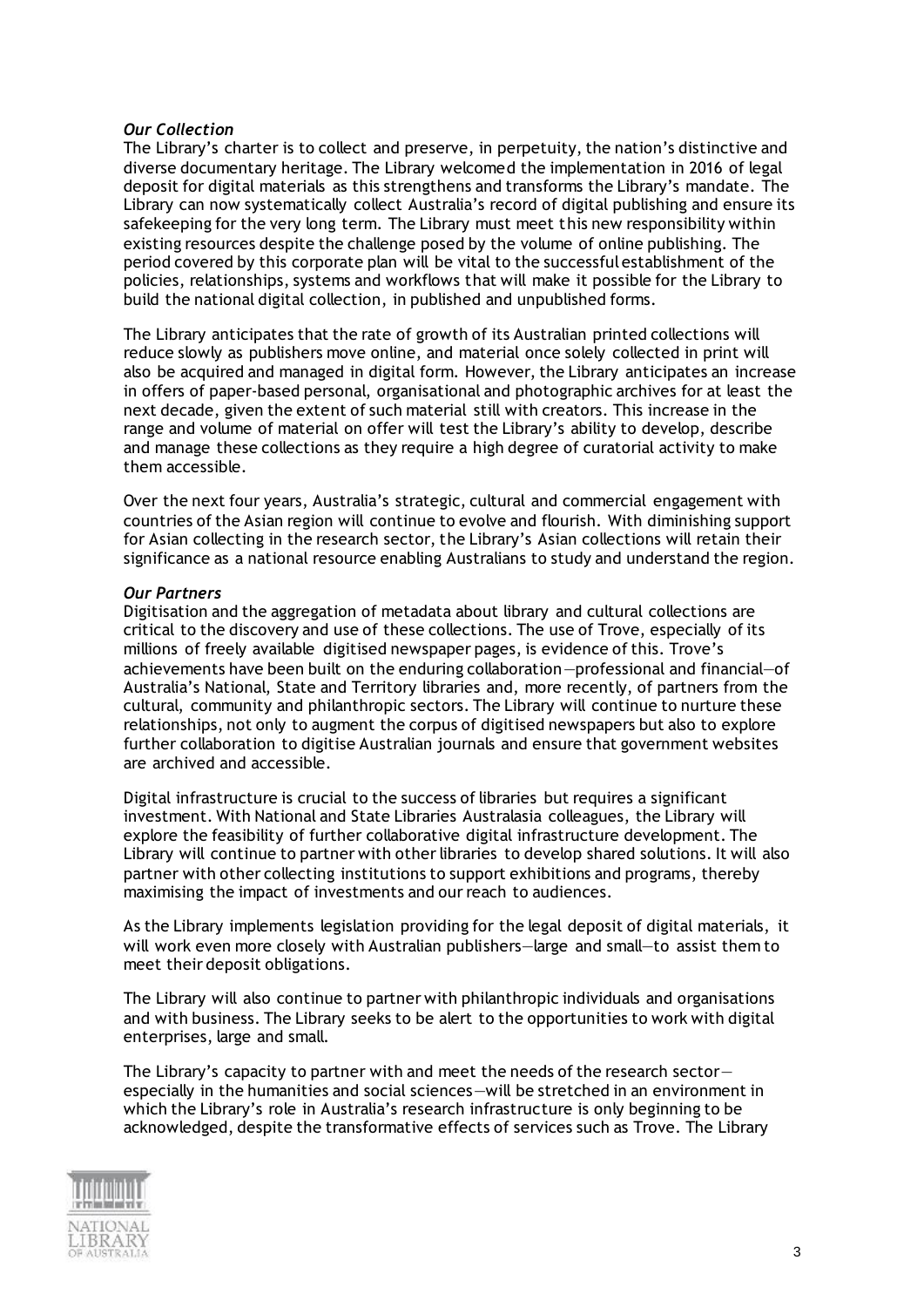#### *Our Collection*

The Library's charter is to collect and preserve, in perpetuity, the nation's distinctive and diverse documentary heritage. The Library welcomed the implementation in 2016 of legal deposit for digital materials as this strengthens and transforms the Library's mandate. The Library can now systematically collect Australia's record of digital publishing and ensure its safekeeping for the very long term. The Library must meet this new responsibility within existing resources despite the challenge posed by the volume of online publishing. The period covered by this corporate plan will be vital to the successful establishment of the policies, relationships, systems and workflows that will make it possible for the Library to build the national digital collection, in published and unpublished forms.

The Library anticipates that the rate of growth of its Australian printed collections will reduce slowly as publishers move online, and material once solely collected in print will also be acquired and managed in digital form. However, the Library anticipates an increase in offers of paper-based personal, organisational and photographic archives for at least the next decade, given the extent of such material still with creators. This increase in the range and volume of material on offer will test the Library's ability to develop, describe and manage these collections as they require a high degree of curatorial activity to make them accessible.

Over the next four years, Australia's strategic, cultural and commercial engagement with countries of the Asian region will continue to evolve and flourish. With diminishing support for Asian collecting in the research sector, the Library's Asian collections will retain their significance as a national resource enabling Australians to study and understand the region.

#### *Our Partners*

Digitisation and the aggregation of metadata about library and cultural collections are critical to the discovery and use of these collections. The use of Trove, especially of its millions of freely available digitised newspaper pages, is evidence of this. Trove's achievements have been built on the enduring collaboration—professional and financial—of Australia's National, State and Territory libraries and, more recently, of partners from the cultural, community and philanthropic sectors. The Library will continue to nurture these relationships, not only to augment the corpus of digitised newspapers but also to explore further collaboration to digitise Australian journals and ensure that government websites are archived and accessible.

Digital infrastructure is crucial to the success of libraries but requires a significant investment. With National and State Libraries Australasia colleagues, the Library will explore the feasibility of further collaborative digital infrastructure development. The Library will continue to partner with other libraries to develop shared solutions. It will also partner with other collecting institutions to support exhibitions and programs, thereby maximising the impact of investments and our reach to audiences.

As the Library implements legislation providing for the legal deposit of digital materials, it will work even more closely with Australian publishers—large and small—to assist them to meet their deposit obligations.

The Library will also continue to partner with philanthropic individuals and organisations and with business. The Library seeks to be alert to the opportunities to work with digital enterprises, large and small.

The Library's capacity to partner with and meet the needs of the research sectorespecially in the humanities and social sciences—will be stretched in an environment in which the Library's role in Australia's research infrastructure is only beginning to be acknowledged, despite the transformative effects of services such as Trove. The Library

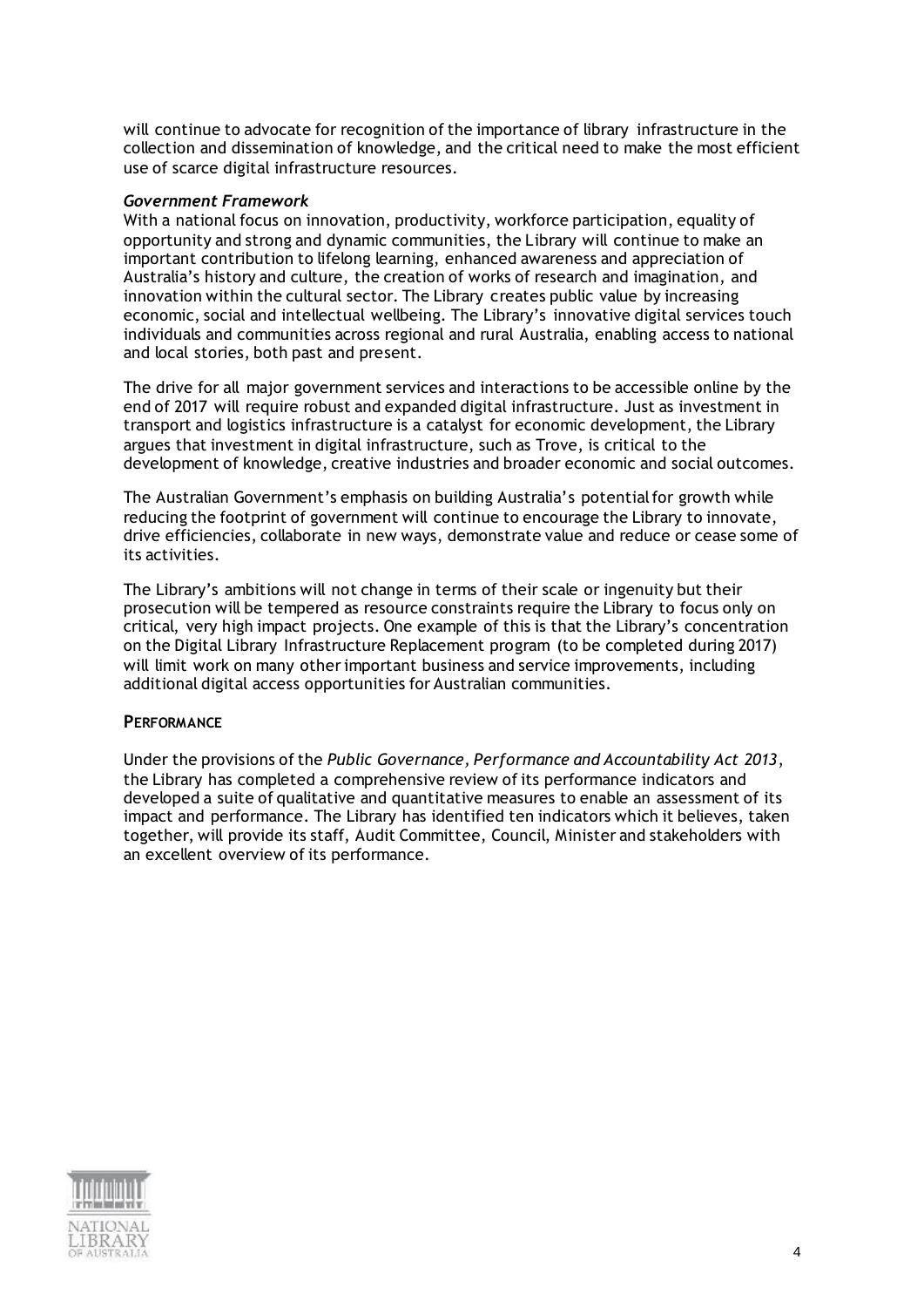will continue to advocate for recognition of the importance of library infrastructure in the collection and dissemination of knowledge, and the critical need to make the most efficient use of scarce digital infrastructure resources.

### *Government Framework*

With a national focus on innovation, productivity, workforce participation, equality of opportunity and strong and dynamic communities, the Library will continue to make an important contribution to lifelong learning, enhanced awareness and appreciation of Australia's history and culture, the creation of works of research and imagination, and innovation within the cultural sector. The Library creates public value by increasing economic, social and intellectual wellbeing. The Library's innovative digital services touch individuals and communities across regional and rural Australia, enabling access to national and local stories, both past and present.

The drive for all major government services and interactions to be accessible online by the end of 2017 will require robust and expanded digital infrastructure. Just as investment in transport and logistics infrastructure is a catalyst for economic development, the Library argues that investment in digital infrastructure, such as Trove, is critical to the development of knowledge, creative industries and broader economic and social outcomes.

The Australian Government's emphasis on building Australia's potential for growth while reducing the footprint of government will continue to encourage the Library to innovate, drive efficiencies, collaborate in new ways, demonstrate value and reduce or cease some of its activities.

The Library's ambitions will not change in terms of their scale or ingenuity but their prosecution will be tempered as resource constraints require the Library to focus only on critical, very high impact projects. One example of this is that the Library's concentration on the Digital Library Infrastructure Replacement program (to be completed during 2017) will limit work on many other important business and service improvements, including additional digital access opportunities for Australian communities.

## **PERFORMANCE**

Under the provisions of the *Public Governance, Performance and Accountability Act 2013*, the Library has completed a comprehensive review of its performance indicators and developed a suite of qualitative and quantitative measures to enable an assessment of its impact and performance. The Library has identified ten indicators which it believes, taken together, will provide its staff, Audit Committee, Council, Minister and stakeholders with an excellent overview of its performance.

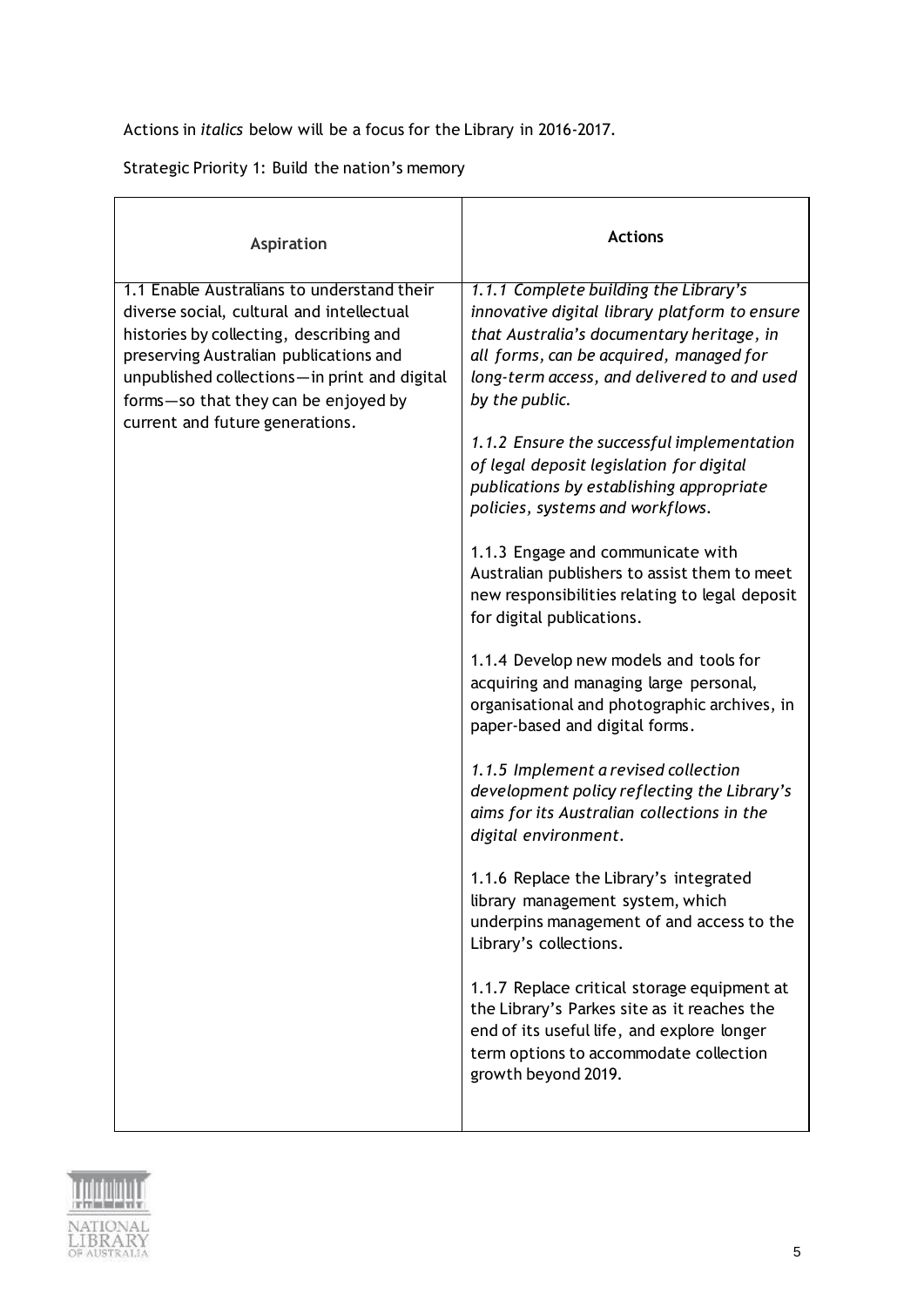Actions in *italics* below will be a focus for the Library in 2016-2017.

Strategic Priority 1: Build the nation's memory

| <b>Aspiration</b>                                                                                                                                                                                                                                                                                       | <b>Actions</b>                                                                                                                                                                                                                                                                                                                                                                                                                                                                                                                                                                                                                                                                    |
|---------------------------------------------------------------------------------------------------------------------------------------------------------------------------------------------------------------------------------------------------------------------------------------------------------|-----------------------------------------------------------------------------------------------------------------------------------------------------------------------------------------------------------------------------------------------------------------------------------------------------------------------------------------------------------------------------------------------------------------------------------------------------------------------------------------------------------------------------------------------------------------------------------------------------------------------------------------------------------------------------------|
| 1.1 Enable Australians to understand their<br>diverse social, cultural and intellectual<br>histories by collecting, describing and<br>preserving Australian publications and<br>unpublished collections-in print and digital<br>forms-so that they can be enjoyed by<br>current and future generations. | 1.1.1 Complete building the Library's<br>innovative digital library platform to ensure<br>that Australia's documentary heritage, in<br>all forms, can be acquired, managed for<br>long-term access, and delivered to and used<br>by the public.<br>1.1.2 Ensure the successful implementation<br>of legal deposit legislation for digital<br>publications by establishing appropriate<br>policies, systems and workflows.<br>1.1.3 Engage and communicate with<br>Australian publishers to assist them to meet<br>new responsibilities relating to legal deposit<br>for digital publications.<br>1.1.4 Develop new models and tools for<br>acquiring and managing large personal, |
|                                                                                                                                                                                                                                                                                                         | organisational and photographic archives, in<br>paper-based and digital forms.<br>1.1.5 Implement a revised collection<br>development policy reflecting the Library's<br>aims for its Australian collections in the<br>digital environment.<br>1.1.6 Replace the Library's integrated<br>library management system, which<br>underpins management of and access to the<br>Library's collections.<br>1.1.7 Replace critical storage equipment at<br>the Library's Parkes site as it reaches the<br>end of its useful life, and explore longer<br>term options to accommodate collection<br>growth beyond 2019.                                                                     |

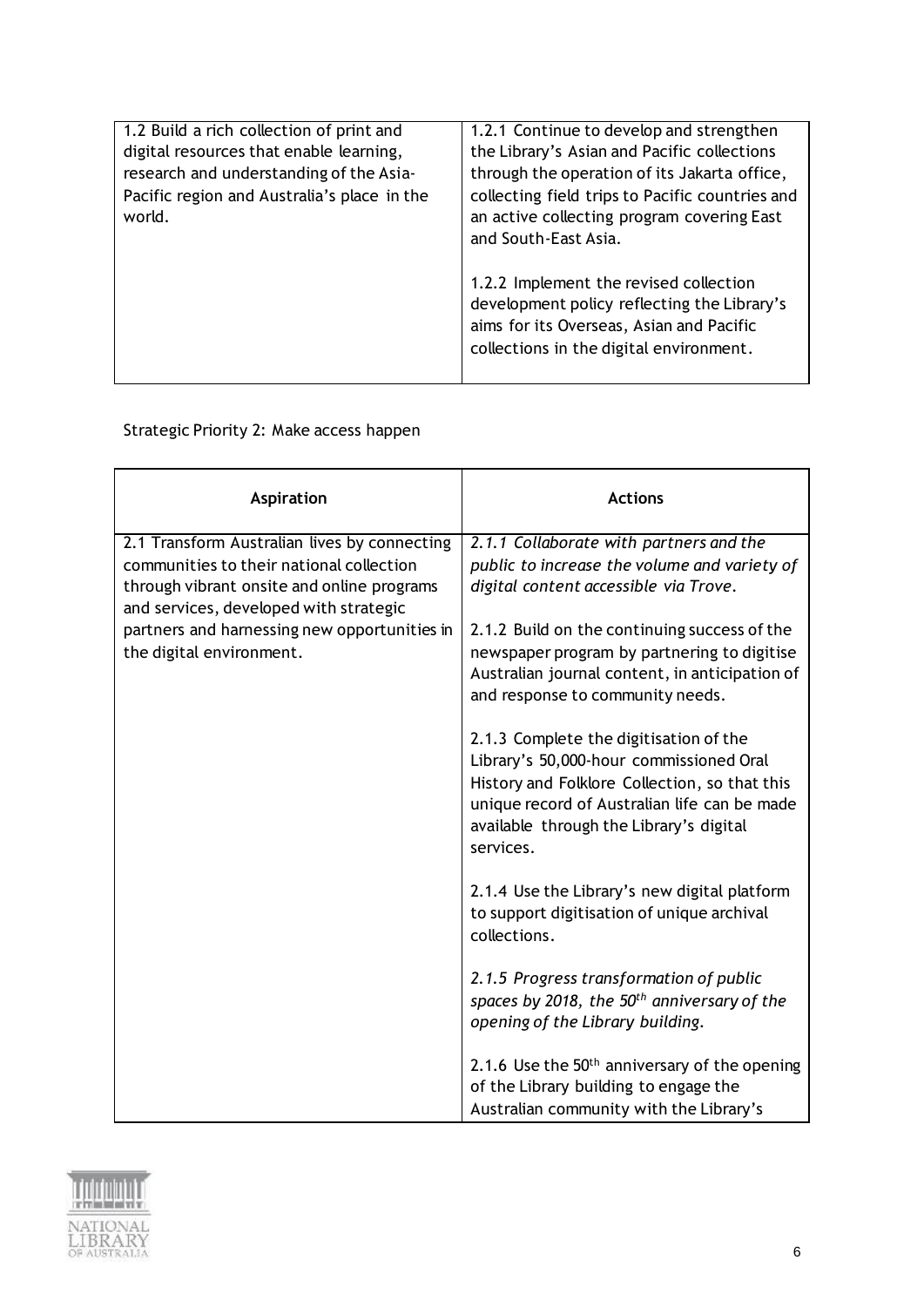| 1.2 Build a rich collection of print and    | 1.2.1 Continue to develop and strengthen        |
|---------------------------------------------|-------------------------------------------------|
| digital resources that enable learning,     | the Library's Asian and Pacific collections     |
| research and understanding of the Asia-     | through the operation of its Jakarta office,    |
| Pacific region and Australia's place in the | collecting field trips to Pacific countries and |
| world.                                      | an active collecting program covering East      |
|                                             | and South-East Asia.                            |
|                                             |                                                 |
|                                             | 1.2.2 Implement the revised collection          |
|                                             | development policy reflecting the Library's     |
|                                             | aims for its Overseas, Asian and Pacific        |
|                                             | collections in the digital environment.         |
|                                             |                                                 |
|                                             |                                                 |

# Strategic Priority 2: Make access happen

| Aspiration                                                                                                                                                                       | <b>Actions</b>                                                                                                                                                                                                                             |
|----------------------------------------------------------------------------------------------------------------------------------------------------------------------------------|--------------------------------------------------------------------------------------------------------------------------------------------------------------------------------------------------------------------------------------------|
| 2.1 Transform Australian lives by connecting<br>communities to their national collection<br>through vibrant onsite and online programs<br>and services, developed with strategic | 2.1.1 Collaborate with partners and the<br>public to increase the volume and variety of<br>digital content accessible via Trove.                                                                                                           |
| partners and harnessing new opportunities in<br>the digital environment.                                                                                                         | 2.1.2 Build on the continuing success of the<br>newspaper program by partnering to digitise<br>Australian journal content, in anticipation of<br>and response to community needs.                                                          |
|                                                                                                                                                                                  | 2.1.3 Complete the digitisation of the<br>Library's 50,000-hour commissioned Oral<br>History and Folklore Collection, so that this<br>unique record of Australian life can be made<br>available through the Library's digital<br>services. |
|                                                                                                                                                                                  | 2.1.4 Use the Library's new digital platform<br>to support digitisation of unique archival<br>collections.                                                                                                                                 |
|                                                                                                                                                                                  | 2.1.5 Progress transformation of public<br>spaces by 2018, the 50 <sup>th</sup> anniversary of the<br>opening of the Library building.                                                                                                     |
|                                                                                                                                                                                  | 2.1.6 Use the $50th$ anniversary of the opening<br>of the Library building to engage the<br>Australian community with the Library's                                                                                                        |

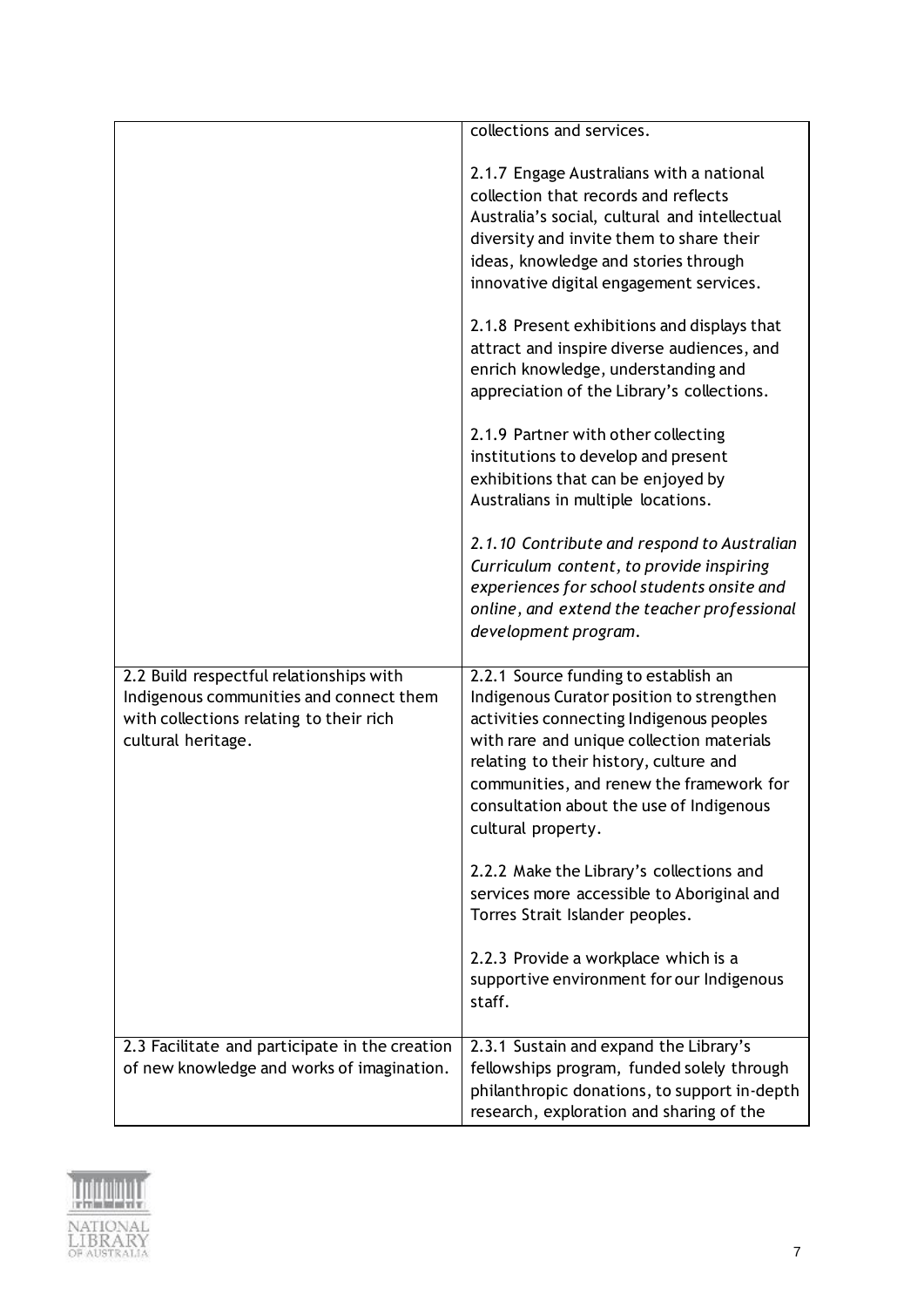|                                                                                                                                                     | collections and services.                                                                                                                                                                                                                                                                                                          |
|-----------------------------------------------------------------------------------------------------------------------------------------------------|------------------------------------------------------------------------------------------------------------------------------------------------------------------------------------------------------------------------------------------------------------------------------------------------------------------------------------|
|                                                                                                                                                     |                                                                                                                                                                                                                                                                                                                                    |
|                                                                                                                                                     | 2.1.7 Engage Australians with a national<br>collection that records and reflects<br>Australia's social, cultural and intellectual<br>diversity and invite them to share their<br>ideas, knowledge and stories through<br>innovative digital engagement services.                                                                   |
|                                                                                                                                                     | 2.1.8 Present exhibitions and displays that<br>attract and inspire diverse audiences, and<br>enrich knowledge, understanding and<br>appreciation of the Library's collections.                                                                                                                                                     |
|                                                                                                                                                     | 2.1.9 Partner with other collecting<br>institutions to develop and present<br>exhibitions that can be enjoyed by<br>Australians in multiple locations.                                                                                                                                                                             |
|                                                                                                                                                     | 2.1.10 Contribute and respond to Australian<br>Curriculum content, to provide inspiring<br>experiences for school students onsite and<br>online, and extend the teacher professional<br>development program.                                                                                                                       |
| 2.2 Build respectful relationships with<br>Indigenous communities and connect them<br>with collections relating to their rich<br>cultural heritage. | 2.2.1 Source funding to establish an<br>Indigenous Curator position to strengthen<br>activities connecting Indigenous peoples<br>with rare and unique collection materials<br>relating to their history, culture and<br>communities, and renew the framework for<br>consultation about the use of Indigenous<br>cultural property. |
|                                                                                                                                                     | 2.2.2 Make the Library's collections and<br>services more accessible to Aboriginal and<br>Torres Strait Islander peoples.                                                                                                                                                                                                          |
|                                                                                                                                                     | 2.2.3 Provide a workplace which is a<br>supportive environment for our Indigenous<br>staff.                                                                                                                                                                                                                                        |
| 2.3 Facilitate and participate in the creation<br>of new knowledge and works of imagination.                                                        | 2.3.1 Sustain and expand the Library's<br>fellowships program, funded solely through<br>philanthropic donations, to support in-depth<br>research, exploration and sharing of the                                                                                                                                                   |

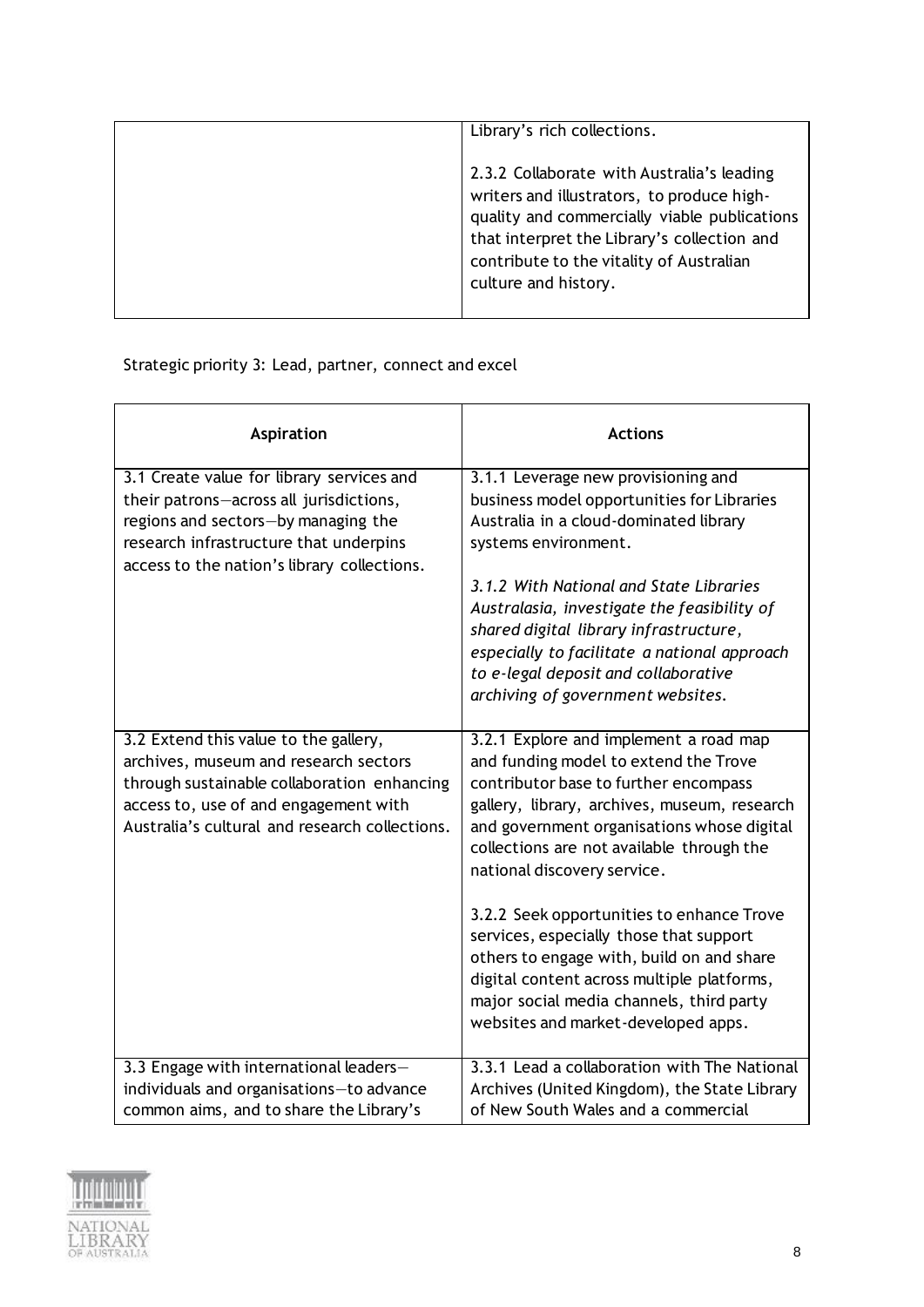| Library's rich collections.                                                                                                                                                                                                                                 |
|-------------------------------------------------------------------------------------------------------------------------------------------------------------------------------------------------------------------------------------------------------------|
| 2.3.2 Collaborate with Australia's leading<br>writers and illustrators, to produce high-<br>quality and commercially viable publications<br>that interpret the Library's collection and<br>contribute to the vitality of Australian<br>culture and history. |

Strategic priority 3: Lead, partner, connect and excel

| Aspiration                                                                                                                                                                                                               | <b>Actions</b>                                                                                                                                                                                                                                                                                                                                                                                                                                                                                                                    |
|--------------------------------------------------------------------------------------------------------------------------------------------------------------------------------------------------------------------------|-----------------------------------------------------------------------------------------------------------------------------------------------------------------------------------------------------------------------------------------------------------------------------------------------------------------------------------------------------------------------------------------------------------------------------------------------------------------------------------------------------------------------------------|
| 3.1 Create value for library services and<br>their patrons-across all jurisdictions,<br>regions and sectors-by managing the<br>research infrastructure that underpins<br>access to the nation's library collections.     | 3.1.1 Leverage new provisioning and<br>business model opportunities for Libraries<br>Australia in a cloud-dominated library<br>systems environment.<br>3.1.2 With National and State Libraries<br>Australasia, investigate the feasibility of<br>shared digital library infrastructure,<br>especially to facilitate a national approach<br>to e-legal deposit and collaborative<br>archiving of government websites.                                                                                                              |
| 3.2 Extend this value to the gallery,<br>archives, museum and research sectors<br>through sustainable collaboration enhancing<br>access to, use of and engagement with<br>Australia's cultural and research collections. | 3.2.1 Explore and implement a road map<br>and funding model to extend the Trove<br>contributor base to further encompass<br>gallery, library, archives, museum, research<br>and government organisations whose digital<br>collections are not available through the<br>national discovery service.<br>3.2.2 Seek opportunities to enhance Trove<br>services, especially those that support<br>others to engage with, build on and share<br>digital content across multiple platforms,<br>major social media channels, third party |
| 3.3 Engage with international leaders-<br>individuals and organisations-to advance<br>common aims, and to share the Library's                                                                                            | websites and market-developed apps.<br>3.3.1 Lead a collaboration with The National<br>Archives (United Kingdom), the State Library<br>of New South Wales and a commercial                                                                                                                                                                                                                                                                                                                                                        |

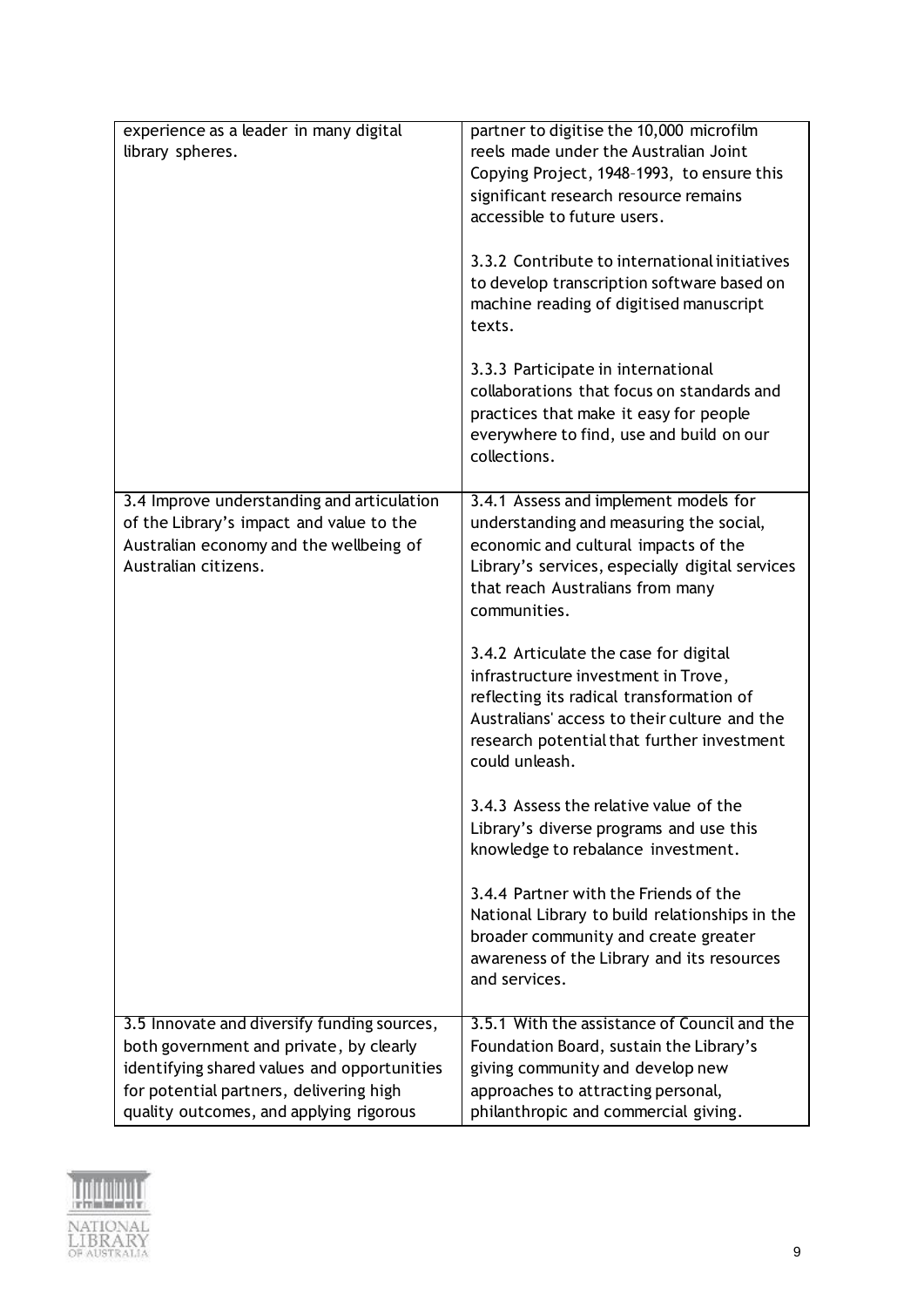| experience as a leader in many digital<br>library spheres.                                                                                                                                                                  | partner to digitise the 10,000 microfilm<br>reels made under the Australian Joint<br>Copying Project, 1948-1993, to ensure this<br>significant research resource remains<br>accessible to future users.<br>3.3.2 Contribute to international initiatives<br>to develop transcription software based on<br>machine reading of digitised manuscript<br>texts.<br>3.3.3 Participate in international |
|-----------------------------------------------------------------------------------------------------------------------------------------------------------------------------------------------------------------------------|---------------------------------------------------------------------------------------------------------------------------------------------------------------------------------------------------------------------------------------------------------------------------------------------------------------------------------------------------------------------------------------------------|
|                                                                                                                                                                                                                             | collaborations that focus on standards and<br>practices that make it easy for people<br>everywhere to find, use and build on our<br>collections.                                                                                                                                                                                                                                                  |
| 3.4 Improve understanding and articulation<br>of the Library's impact and value to the<br>Australian economy and the wellbeing of<br>Australian citizens.                                                                   | 3.4.1 Assess and implement models for<br>understanding and measuring the social,<br>economic and cultural impacts of the<br>Library's services, especially digital services<br>that reach Australians from many<br>communities.                                                                                                                                                                   |
|                                                                                                                                                                                                                             | 3.4.2 Articulate the case for digital<br>infrastructure investment in Trove,<br>reflecting its radical transformation of<br>Australians' access to their culture and the<br>research potential that further investment<br>could unleash.                                                                                                                                                          |
|                                                                                                                                                                                                                             | 3.4.3 Assess the relative value of the<br>Library's diverse programs and use this<br>knowledge to rebalance investment.                                                                                                                                                                                                                                                                           |
|                                                                                                                                                                                                                             | 3.4.4 Partner with the Friends of the<br>National Library to build relationships in the<br>broader community and create greater<br>awareness of the Library and its resources<br>and services.                                                                                                                                                                                                    |
| 3.5 Innovate and diversify funding sources,<br>both government and private, by clearly<br>identifying shared values and opportunities<br>for potential partners, delivering high<br>quality outcomes, and applying rigorous | 3.5.1 With the assistance of Council and the<br>Foundation Board, sustain the Library's<br>giving community and develop new<br>approaches to attracting personal,<br>philanthropic and commercial giving.                                                                                                                                                                                         |

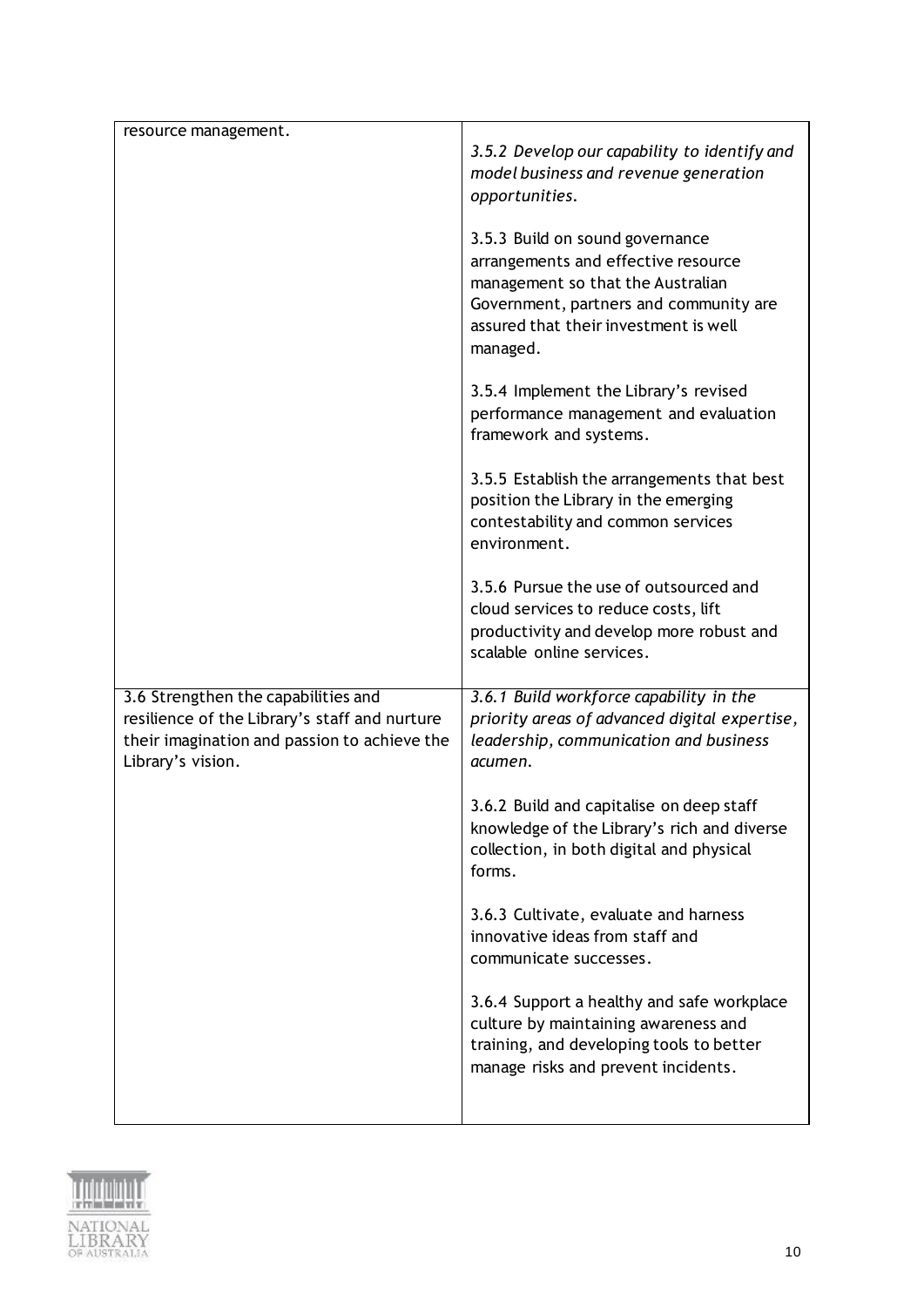| resource management.                                                                                                                                      | 3.5.2 Develop our capability to identify and<br>model business and revenue generation<br>opportunities.                                                                                                    |
|-----------------------------------------------------------------------------------------------------------------------------------------------------------|------------------------------------------------------------------------------------------------------------------------------------------------------------------------------------------------------------|
|                                                                                                                                                           | 3.5.3 Build on sound governance<br>arrangements and effective resource<br>management so that the Australian<br>Government, partners and community are<br>assured that their investment is well<br>managed. |
|                                                                                                                                                           | 3.5.4 Implement the Library's revised<br>performance management and evaluation<br>framework and systems.                                                                                                   |
|                                                                                                                                                           | 3.5.5 Establish the arrangements that best<br>position the Library in the emerging<br>contestability and common services<br>environment.                                                                   |
|                                                                                                                                                           | 3.5.6 Pursue the use of outsourced and<br>cloud services to reduce costs, lift<br>productivity and develop more robust and<br>scalable online services.                                                    |
| 3.6 Strengthen the capabilities and<br>resilience of the Library's staff and nurture<br>their imagination and passion to achieve the<br>Library's vision. | 3.6.1 Build workforce capability in the<br>priority areas of advanced digital expertise,<br>leadership, communication and business<br>acumen.                                                              |
|                                                                                                                                                           | 3.6.2 Build and capitalise on deep staff<br>knowledge of the Library's rich and diverse<br>collection, in both digital and physical<br>forms.                                                              |
|                                                                                                                                                           | 3.6.3 Cultivate, evaluate and harness<br>innovative ideas from staff and<br>communicate successes.                                                                                                         |
|                                                                                                                                                           | 3.6.4 Support a healthy and safe workplace<br>culture by maintaining awareness and<br>training, and developing tools to better<br>manage risks and prevent incidents.                                      |
|                                                                                                                                                           |                                                                                                                                                                                                            |

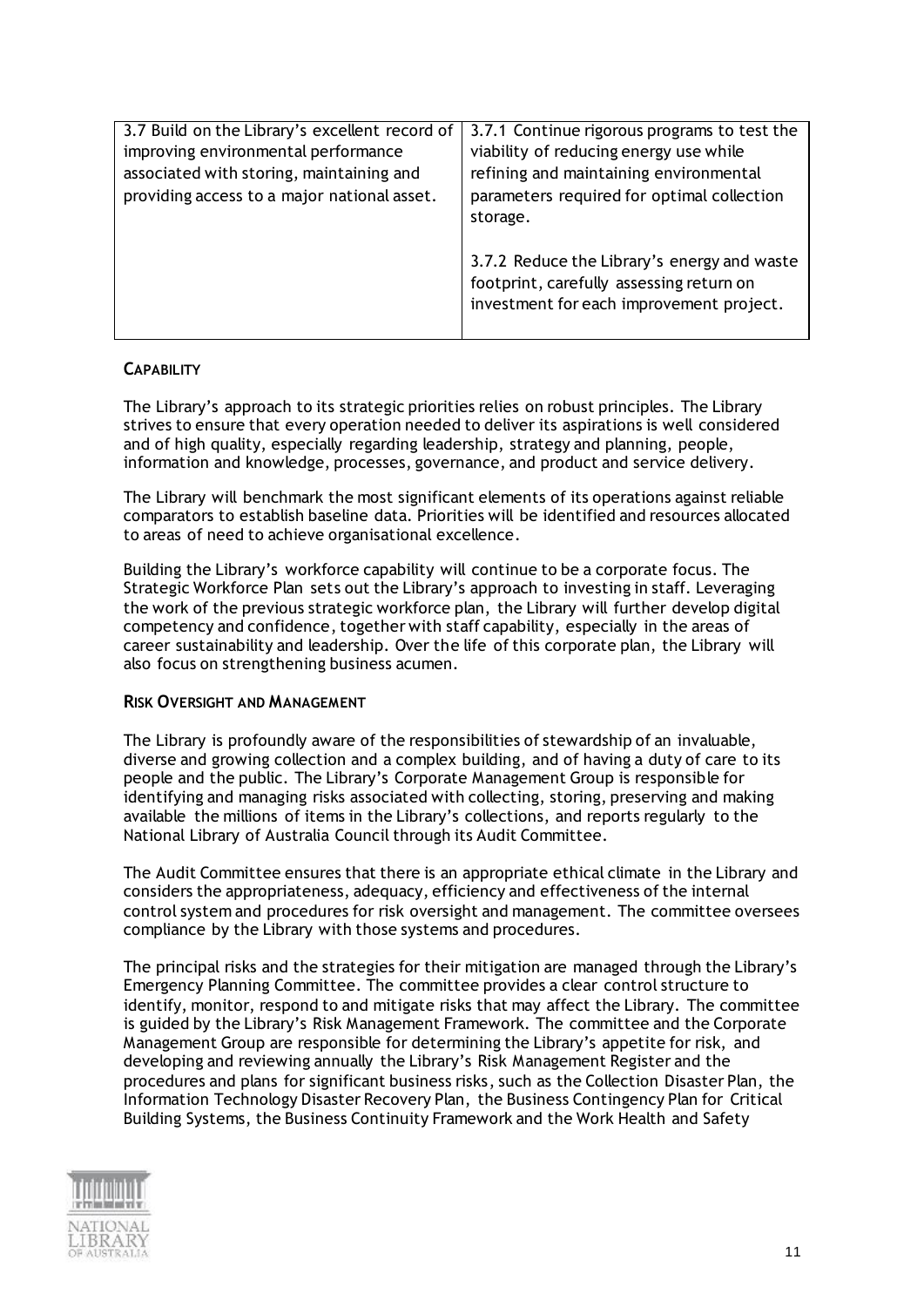| 3.7 Build on the Library's excellent record of | 3.7.1 Continue rigorous programs to test the |
|------------------------------------------------|----------------------------------------------|
| improving environmental performance            | viability of reducing energy use while       |
| associated with storing, maintaining and       | refining and maintaining environmental       |
| providing access to a major national asset.    | parameters required for optimal collection   |
|                                                | storage.                                     |
|                                                |                                              |
|                                                | 3.7.2 Reduce the Library's energy and waste  |
|                                                | footprint, carefully assessing return on     |
|                                                | investment for each improvement project.     |
|                                                |                                              |

## **CAPABILITY**

The Library's approach to its strategic priorities relies on robust principles. The Library strives to ensure that every operation needed to deliver its aspirations is well considered and of high quality, especially regarding leadership, strategy and planning, people, information and knowledge, processes, governance, and product and service delivery.

The Library will benchmark the most significant elements of its operations against reliable comparators to establish baseline data. Priorities will be identified and resources allocated to areas of need to achieve organisational excellence.

Building the Library's workforce capability will continue to be a corporate focus. The Strategic Workforce Plan sets out the Library's approach to investing in staff. Leveraging the work of the previous strategic workforce plan, the Library will further develop digital competency and confidence, together with staff capability, especially in the areas of career sustainability and leadership. Over the life of this corporate plan, the Library will also focus on strengthening business acumen.

## **RISK OVERSIGHT AND MANAGEMENT**

The Library is profoundly aware of the responsibilities of stewardship of an invaluable, diverse and growing collection and a complex building, and of having a duty of care to its people and the public. The Library's Corporate Management Group is responsible for identifying and managing risks associated with collecting, storing, preserving and making available the millions of items in the Library's collections, and reports regularly to the National Library of Australia Council through its Audit Committee.

The Audit Committee ensures that there is an appropriate ethical climate in the Library and considers the appropriateness, adequacy, efficiency and effectiveness of the internal control system and procedures for risk oversight and management. The committee oversees compliance by the Library with those systems and procedures.

The principal risks and the strategies for their mitigation are managed through the Library's Emergency Planning Committee. The committee provides a clear control structure to identify, monitor, respond to and mitigate risks that may affect the Library. The committee is guided by the Library's Risk Management Framework. The committee and the Corporate Management Group are responsible for determining the Library's appetite for risk, and developing and reviewing annually the Library's Risk Management Register and the procedures and plans for significant business risks, such as the Collection Disaster Plan, the Information Technology Disaster Recovery Plan, the Business Contingency Plan for Critical Building Systems, the Business Continuity Framework and the Work Health and Safety